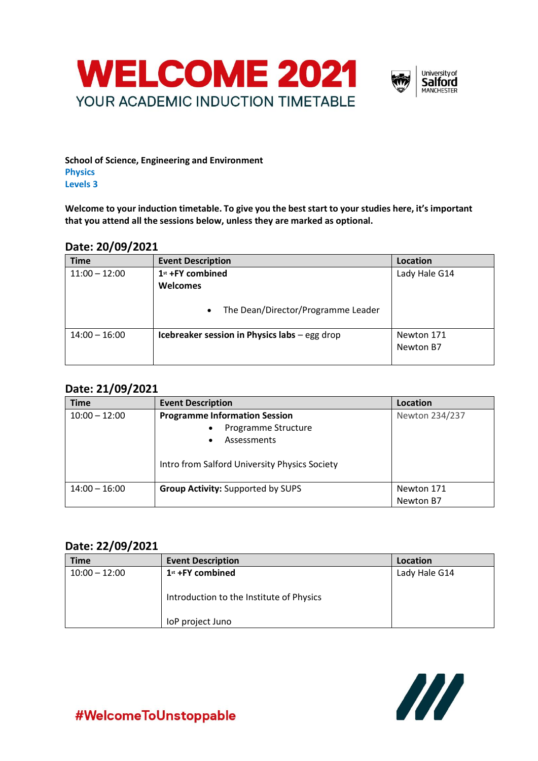



**School of Science, Engineering and Environment Physics Levels 3** 

**Welcome to your induction timetable. To give you the best start to your studies here, it's important that you attend all the sessions below, unless they are marked as optional.**

### **Date: 20/09/2021**

| <b>Time</b>     | <b>Event Description</b>                                                               | Location                |
|-----------------|----------------------------------------------------------------------------------------|-------------------------|
| $11:00 - 12:00$ | 1st +FY combined<br><b>Welcomes</b><br>The Dean/Director/Programme Leader<br>$\bullet$ | Lady Hale G14           |
| $14:00 - 16:00$ | Icebreaker session in Physics labs - egg drop                                          | Newton 171<br>Newton B7 |

# **Date: 21/09/2021**

| <b>Time</b>     | <b>Event Description</b>                      | Location       |
|-----------------|-----------------------------------------------|----------------|
| $10:00 - 12:00$ | <b>Programme Information Session</b>          | Newton 234/237 |
|                 | Programme Structure                           |                |
|                 | Assessments                                   |                |
|                 | Intro from Salford University Physics Society |                |
| $14:00 - 16:00$ | <b>Group Activity: Supported by SUPS</b>      | Newton 171     |
|                 |                                               | Newton B7      |

### **Date: 22/09/2021**

| <b>Time</b>     | <b>Event Description</b>                                     | Location      |
|-----------------|--------------------------------------------------------------|---------------|
| $10:00 - 12:00$ | $1st$ +FY combined                                           | Lady Hale G14 |
|                 | Introduction to the Institute of Physics<br>loP project Juno |               |



#WelcomeToUnstoppable